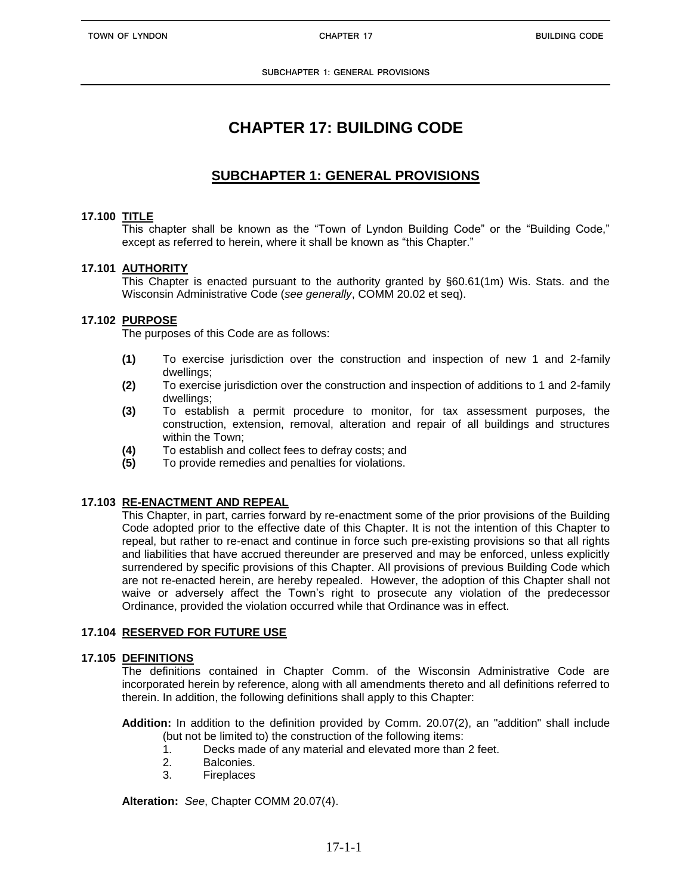# **CHAPTER 17: BUILDING CODE**

## **SUBCHAPTER 1: GENERAL PROVISIONS**

#### **17.100 TITLE**

This chapter shall be known as the "Town of Lyndon Building Code" or the "Building Code," except as referred to herein, where it shall be known as "this Chapter."

### **17.101 AUTHORITY**

This Chapter is enacted pursuant to the authority granted by §60.61(1m) Wis. Stats. and the Wisconsin Administrative Code (*see generally*, COMM 20.02 et seq).

#### **17.102 PURPOSE**

The purposes of this Code are as follows:

- **(1)** To exercise jurisdiction over the construction and inspection of new 1 and 2-family dwellings;
- **(2)** To exercise jurisdiction over the construction and inspection of additions to 1 and 2-family dwellings;
- **(3)** To establish a permit procedure to monitor, for tax assessment purposes, the construction, extension, removal, alteration and repair of all buildings and structures within the Town;
- **(4)** To establish and collect fees to defray costs; and
- **(5)** To provide remedies and penalties for violations.

#### **17.103 RE-ENACTMENT AND REPEAL**

This Chapter, in part, carries forward by re-enactment some of the prior provisions of the Building Code adopted prior to the effective date of this Chapter. It is not the intention of this Chapter to repeal, but rather to re-enact and continue in force such pre-existing provisions so that all rights and liabilities that have accrued thereunder are preserved and may be enforced, unless explicitly surrendered by specific provisions of this Chapter. All provisions of previous Building Code which are not re-enacted herein, are hereby repealed. However, the adoption of this Chapter shall not waive or adversely affect the Town's right to prosecute any violation of the predecessor Ordinance, provided the violation occurred while that Ordinance was in effect.

#### **17.104 RESERVED FOR FUTURE USE**

#### **17.105 DEFINITIONS**

The definitions contained in Chapter Comm. of the Wisconsin Administrative Code are incorporated herein by reference, along with all amendments thereto and all definitions referred to therein. In addition, the following definitions shall apply to this Chapter:

**Addition:** In addition to the definition provided by Comm. 20.07(2), an "addition" shall include (but not be limited to) the construction of the following items:

- 1. Decks made of any material and elevated more than 2 feet.
- 2. Balconies.
- 3. Fireplaces

**Alteration:** *See*, Chapter COMM 20.07(4).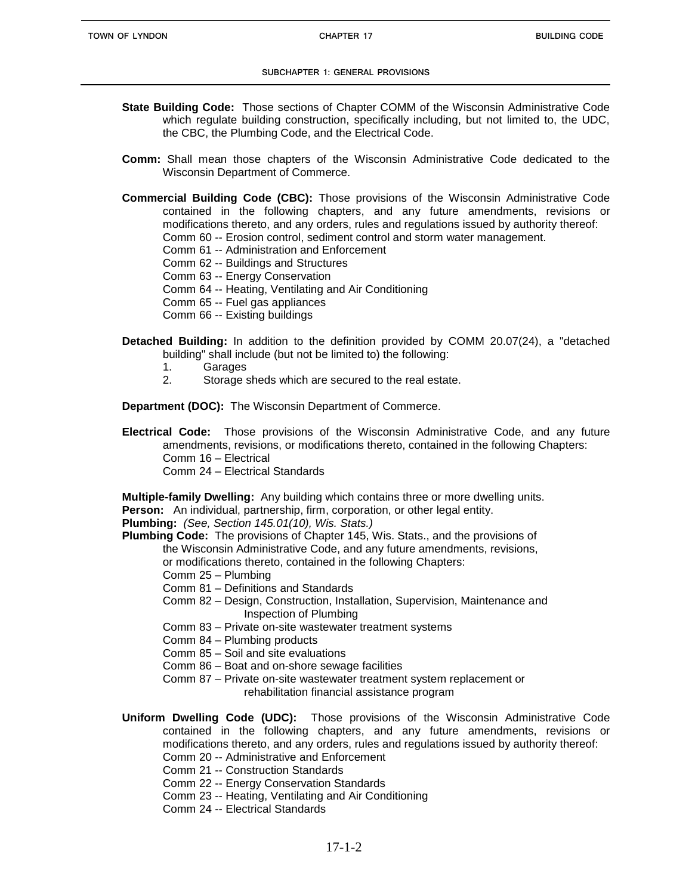#### **SUBCHAPTER 1: GENERAL PROVISIONS**

- **State Building Code:** Those sections of Chapter COMM of the Wisconsin Administrative Code which regulate building construction, specifically including, but not limited to, the UDC, the CBC, the Plumbing Code, and the Electrical Code.
- **Comm:** Shall mean those chapters of the Wisconsin Administrative Code dedicated to the Wisconsin Department of Commerce.
- **Commercial Building Code (CBC):** Those provisions of the Wisconsin Administrative Code contained in the following chapters, and any future amendments, revisions or modifications thereto, and any orders, rules and regulations issued by authority thereof: Comm 60 -- Erosion control, sediment control and storm water management.
	- Comm 61 -- Administration and Enforcement
	- Comm 62 -- Buildings and Structures
	- Comm 63 -- Energy Conservation
	- Comm 64 -- Heating, Ventilating and Air Conditioning
	- Comm 65 -- Fuel gas appliances
	- Comm 66 -- Existing buildings
- **Detached Building:** In addition to the definition provided by COMM 20.07(24), a "detached building" shall include (but not be limited to) the following:
	- 1. Garages
	- 2. Storage sheds which are secured to the real estate.

**Department (DOC):** The Wisconsin Department of Commerce.

**Electrical Code:** Those provisions of the Wisconsin Administrative Code, and any future amendments, revisions, or modifications thereto, contained in the following Chapters: Comm 16 – Electrical Comm 24 – Electrical Standards

**Multiple-family Dwelling:** Any building which contains three or more dwelling units.

**Person:** An individual, partnership, firm, corporation, or other legal entity.

**Plumbing:** *(See, Section 145.01(10), Wis. Stats.)*

**Plumbing Code:** The provisions of Chapter 145, Wis. Stats., and the provisions of

the Wisconsin Administrative Code, and any future amendments, revisions, or modifications thereto, contained in the following Chapters:

- Comm 25 Plumbing
- Comm 81 Definitions and Standards
- Comm 82 Design, Construction, Installation, Supervision, Maintenance and Inspection of Plumbing
- Comm 83 Private on-site wastewater treatment systems
- Comm 84 Plumbing products
- Comm 85 Soil and site evaluations
- Comm 86 Boat and on-shore sewage facilities
- Comm 87 Private on-site wastewater treatment system replacement or rehabilitation financial assistance program
- **Uniform Dwelling Code (UDC):** Those provisions of the Wisconsin Administrative Code contained in the following chapters, and any future amendments, revisions or modifications thereto, and any orders, rules and regulations issued by authority thereof: Comm 20 -- Administrative and Enforcement
	- Comm 21 -- Construction Standards
	- Comm 22 -- Energy Conservation Standards
	- Comm 23 -- Heating, Ventilating and Air Conditioning
	- Comm 24 -- Electrical Standards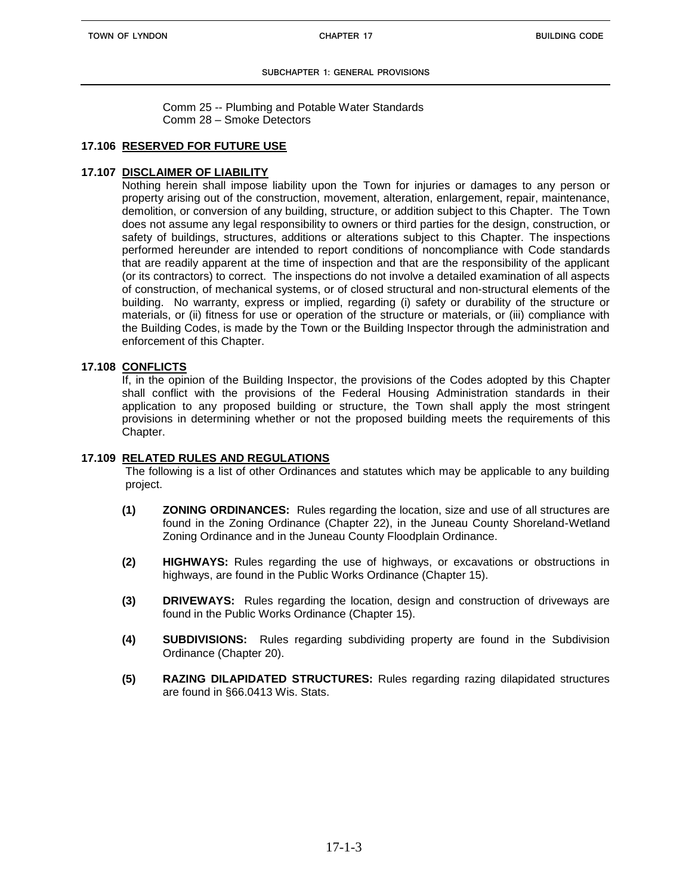**SUBCHAPTER 1: GENERAL PROVISIONS**

Comm 25 -- Plumbing and Potable Water Standards Comm 28 – Smoke Detectors

#### **17.106 RESERVED FOR FUTURE USE**

#### **17.107 DISCLAIMER OF LIABILITY**

Nothing herein shall impose liability upon the Town for injuries or damages to any person or property arising out of the construction, movement, alteration, enlargement, repair, maintenance, demolition, or conversion of any building, structure, or addition subject to this Chapter. The Town does not assume any legal responsibility to owners or third parties for the design, construction, or safety of buildings, structures, additions or alterations subject to this Chapter. The inspections performed hereunder are intended to report conditions of noncompliance with Code standards that are readily apparent at the time of inspection and that are the responsibility of the applicant (or its contractors) to correct. The inspections do not involve a detailed examination of all aspects of construction, of mechanical systems, or of closed structural and non-structural elements of the building. No warranty, express or implied, regarding (i) safety or durability of the structure or materials, or (ii) fitness for use or operation of the structure or materials, or (iii) compliance with the Building Codes, is made by the Town or the Building Inspector through the administration and enforcement of this Chapter.

#### **17.108 CONFLICTS**

If, in the opinion of the Building Inspector, the provisions of the Codes adopted by this Chapter shall conflict with the provisions of the Federal Housing Administration standards in their application to any proposed building or structure, the Town shall apply the most stringent provisions in determining whether or not the proposed building meets the requirements of this Chapter.

#### **17.109 RELATED RULES AND REGULATIONS**

The following is a list of other Ordinances and statutes which may be applicable to any building project.

- **(1) ZONING ORDINANCES:** Rules regarding the location, size and use of all structures are found in the Zoning Ordinance (Chapter 22), in the Juneau County Shoreland-Wetland Zoning Ordinance and in the Juneau County Floodplain Ordinance.
- **(2) HIGHWAYS:** Rules regarding the use of highways, or excavations or obstructions in highways, are found in the Public Works Ordinance (Chapter 15).
- **(3) DRIVEWAYS:** Rules regarding the location, design and construction of driveways are found in the Public Works Ordinance (Chapter 15).
- **(4) SUBDIVISIONS:** Rules regarding subdividing property are found in the Subdivision Ordinance (Chapter 20).
- **(5) RAZING DILAPIDATED STRUCTURES:** Rules regarding razing dilapidated structures are found in §66.0413 Wis. Stats.